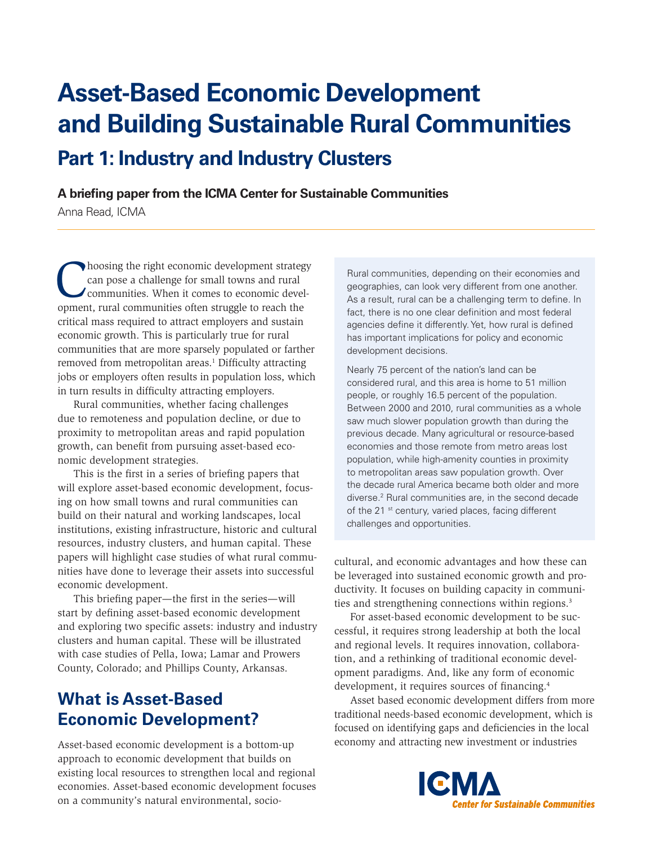# **Asset-Based Economic Development and Building Sustainable Rural Communities Part 1: Industry and Industry Clusters**

**A briefing paper from the ICMA Center for Sustainable Communities**

Anna Read, ICMA

Thoosing the right economic development strategy<br>can pose a challenge for small towns and rural<br>communities. When it comes to economic devel-<br>opment, rural communities often struggle to reach the can pose a challenge for small towns and rural communities. When it comes to economic development, rural communities often struggle to reach the critical mass required to attract employers and sustain economic growth. This is particularly true for rural communities that are more sparsely populated or farther removed from metropolitan areas.<sup>1</sup> Difficulty attracting jobs or employers often results in population loss, which in turn results in difficulty attracting employers.

Rural communities, whether facing challenges due to remoteness and population decline, or due to proximity to metropolitan areas and rapid population growth, can benefit from pursuing asset-based economic development strategies.

This is the first in a series of briefing papers that will explore asset-based economic development, focusing on how small towns and rural communities can build on their natural and working landscapes, local institutions, existing infrastructure, historic and cultural resources, industry clusters, and human capital. These papers will highlight case studies of what rural communities have done to leverage their assets into successful economic development.

This briefing paper—the first in the series—will start by defining asset-based economic development and exploring two specific assets: industry and industry clusters and human capital. These will be illustrated with case studies of Pella, Iowa; Lamar and Prowers County, Colorado; and Phillips County, Arkansas.

# **What is Asset-Based Economic Development?**

Asset-based economic development is a bottom-up approach to economic development that builds on existing local resources to strengthen local and regional economies. Asset-based economic development focuses on a community's natural environmental, socio-

Rural communities, depending on their economies and geographies, can look very different from one another. As a result, rural can be a challenging term to define. In fact, there is no one clear definition and most federal agencies define it differently. Yet, how rural is defined has important implications for policy and economic development decisions.

Nearly 75 percent of the nation's land can be considered rural, and this area is home to 51 million people, or roughly 16.5 percent of the population. Between 2000 and 2010, rural communities as a whole saw much slower population growth than during the previous decade. Many agricultural or resource-based economies and those remote from metro areas lost population, while high-amenity counties in proximity to metropolitan areas saw population growth. Over the decade rural America became both older and more diverse.<sup>2</sup> Rural communities are, in the second decade of the 21<sup>st</sup> century, varied places, facing different challenges and opportunities.

cultural, and economic advantages and how these can be leveraged into sustained economic growth and productivity. It focuses on building capacity in communities and strengthening connections within regions.<sup>3</sup>

For asset-based economic development to be successful, it requires strong leadership at both the local and regional levels. It requires innovation, collaboration, and a rethinking of traditional economic development paradigms. And, like any form of economic development, it requires sources of financing.4

Asset based economic development differs from more traditional needs-based economic development, which is focused on identifying gaps and deficiencies in the local economy and attracting new investment or industries

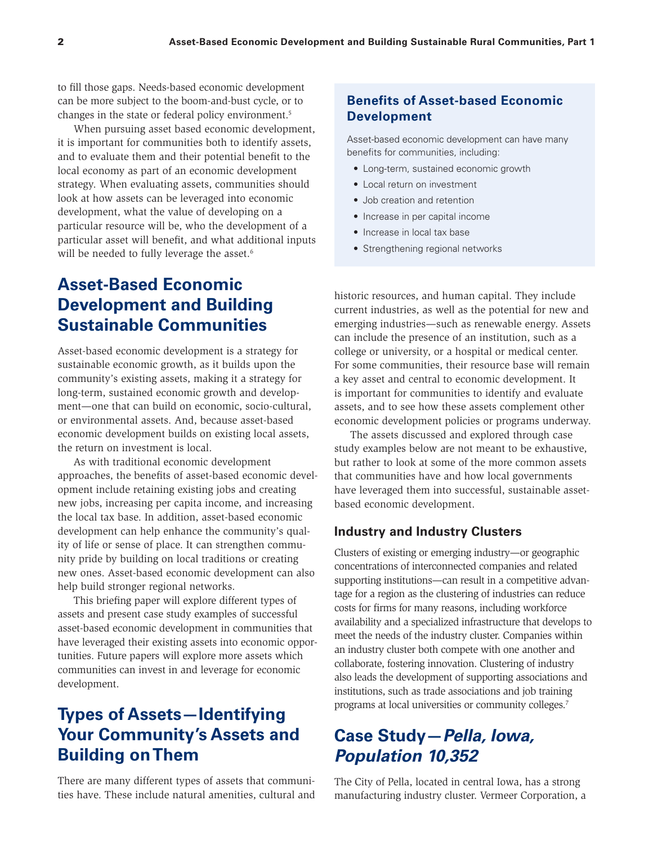to fill those gaps. Needs-based economic development can be more subject to the boom-and-bust cycle, or to changes in the state or federal policy environment.5

When pursuing asset based economic development, it is important for communities both to identify assets, and to evaluate them and their potential benefit to the local economy as part of an economic development strategy. When evaluating assets, communities should look at how assets can be leveraged into economic development, what the value of developing on a particular resource will be, who the development of a particular asset will benefit, and what additional inputs will be needed to fully leverage the asset.<sup>6</sup>

# **Asset-Based Economic Development and Building Sustainable Communities**

Asset-based economic development is a strategy for sustainable economic growth, as it builds upon the community's existing assets, making it a strategy for long-term, sustained economic growth and development—one that can build on economic, socio-cultural, or environmental assets. And, because asset-based economic development builds on existing local assets, the return on investment is local.

As with traditional economic development approaches, the benefits of asset-based economic development include retaining existing jobs and creating new jobs, increasing per capita income, and increasing the local tax base. In addition, asset-based economic development can help enhance the community's quality of life or sense of place. It can strengthen community pride by building on local traditions or creating new ones. Asset-based economic development can also help build stronger regional networks.

This briefing paper will explore different types of assets and present case study examples of successful asset-based economic development in communities that have leveraged their existing assets into economic opportunities. Future papers will explore more assets which communities can invest in and leverage for economic development.

# **Types of Assets—Identifying Your Community's Assets and Building on Them**

There are many different types of assets that communities have. These include natural amenities, cultural and

## **Benefits of Asset-based Economic Development**

Asset-based economic development can have many benefits for communities, including:

- Long-term, sustained economic growth
- Local return on investment
- Job creation and retention
- Increase in per capital income
- Increase in local tax base
- Strengthening regional networks

historic resources, and human capital. They include current industries, as well as the potential for new and emerging industries—such as renewable energy. Assets can include the presence of an institution, such as a college or university, or a hospital or medical center. For some communities, their resource base will remain a key asset and central to economic development. It is important for communities to identify and evaluate assets, and to see how these assets complement other economic development policies or programs underway.

The assets discussed and explored through case study examples below are not meant to be exhaustive, but rather to look at some of the more common assets that communities have and how local governments have leveraged them into successful, sustainable assetbased economic development.

#### **Industry and Industry Clusters**

Clusters of existing or emerging industry—or geographic concentrations of interconnected companies and related supporting institutions—can result in a competitive advantage for a region as the clustering of industries can reduce costs for firms for many reasons, including workforce availability and a specialized infrastructure that develops to meet the needs of the industry cluster. Companies within an industry cluster both compete with one another and collaborate, fostering innovation. Clustering of industry also leads the development of supporting associations and institutions, such as trade associations and job training programs at local universities or community colleges.7

# **Case Study—***Pella, Iowa, Population 10,352*

The City of Pella, located in central Iowa, has a strong manufacturing industry cluster. Vermeer Corporation, a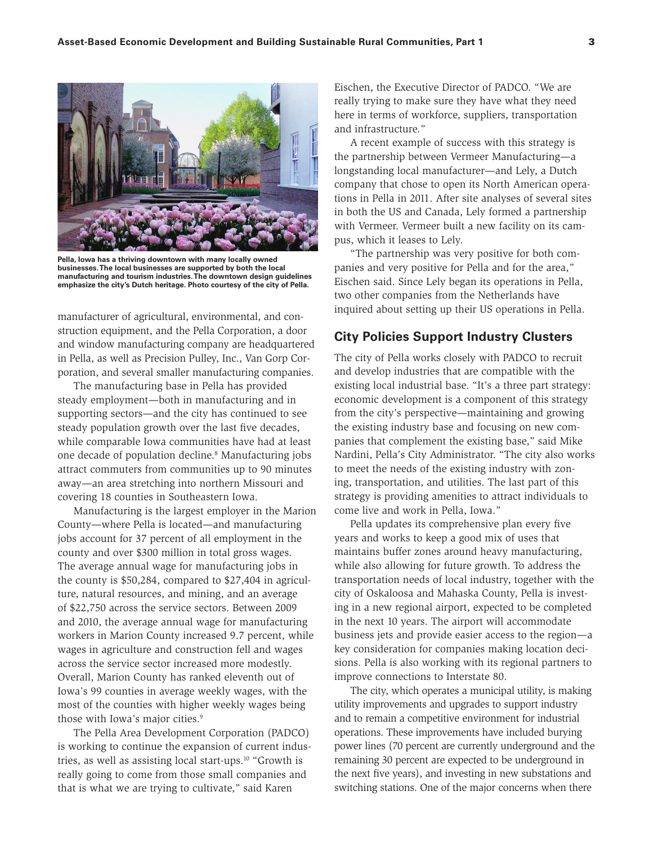

**Pella, Iowa has a thriving downtown with many locally owned businesses. The local businesses are supported by both the local manufacturing and tourism industries. The downtown design guidelines emphasize the city's Dutch heritage. Photo courtesy of the city of Pella.**

manufacturer of agricultural, environmental, and construction equipment, and the Pella Corporation, a door and window manufacturing company are headquartered in Pella, as well as Precision Pulley, Inc., Van Gorp Corporation, and several smaller manufacturing companies.

The manufacturing base in Pella has provided steady employment—both in manufacturing and in supporting sectors—and the city has continued to see steady population growth over the last five decades, while comparable Iowa communities have had at least one decade of population decline.8 Manufacturing jobs attract commuters from communities up to 90 minutes away—an area stretching into northern Missouri and covering 18 counties in Southeastern Iowa.

Manufacturing is the largest employer in the Marion County—where Pella is located—and manufacturing jobs account for 37 percent of all employment in the county and over \$300 million in total gross wages. The average annual wage for manufacturing jobs in the county is \$50,284, compared to \$27,404 in agriculture, natural resources, and mining, and an average of \$22,750 across the service sectors. Between 2009 and 2010, the average annual wage for manufacturing workers in Marion County increased 9.7 percent, while wages in agriculture and construction fell and wages across the service sector increased more modestly. Overall, Marion County has ranked eleventh out of Iowa's 99 counties in average weekly wages, with the most of the counties with higher weekly wages being those with Iowa's major cities.<sup>9</sup>

The Pella Area Development Corporation (PADCO) is working to continue the expansion of current industries, as well as assisting local start-ups.10 "Growth is really going to come from those small companies and that is what we are trying to cultivate," said Karen

Eischen, the Executive Director of PADCO. "We are really trying to make sure they have what they need here in terms of workforce, suppliers, transportation and infrastructure."

A recent example of success with this strategy is the partnership between Vermeer Manufacturing—a longstanding local manufacturer—and Lely, a Dutch company that chose to open its North American operations in Pella in 2011. After site analyses of several sites in both the US and Canada, Lely formed a partnership with Vermeer. Vermeer built a new facility on its campus, which it leases to Lely.

"The partnership was very positive for both companies and very positive for Pella and for the area," Eischen said. Since Lely began its operations in Pella, two other companies from the Netherlands have inquired about setting up their US operations in Pella.

#### **City Policies Support Industry Clusters**

The city of Pella works closely with PADCO to recruit and develop industries that are compatible with the existing local industrial base. "It's a three part strategy: economic development is a component of this strategy from the city's perspective—maintaining and growing the existing industry base and focusing on new companies that complement the existing base," said Mike Nardini, Pella's City Administrator. "The city also works to meet the needs of the existing industry with zoning, transportation, and utilities. The last part of this strategy is providing amenities to attract individuals to come live and work in Pella, Iowa."

Pella updates its comprehensive plan every five years and works to keep a good mix of uses that maintains buffer zones around heavy manufacturing, while also allowing for future growth. To address the transportation needs of local industry, together with the city of Oskaloosa and Mahaska County, Pella is investing in a new regional airport, expected to be completed in the next 10 years. The airport will accommodate business jets and provide easier access to the region—a key consideration for companies making location decisions. Pella is also working with its regional partners to improve connections to Interstate 80.

The city, which operates a municipal utility, is making utility improvements and upgrades to support industry and to remain a competitive environment for industrial operations. These improvements have included burying power lines (70 percent are currently underground and the remaining 30 percent are expected to be underground in the next five years), and investing in new substations and switching stations. One of the major concerns when there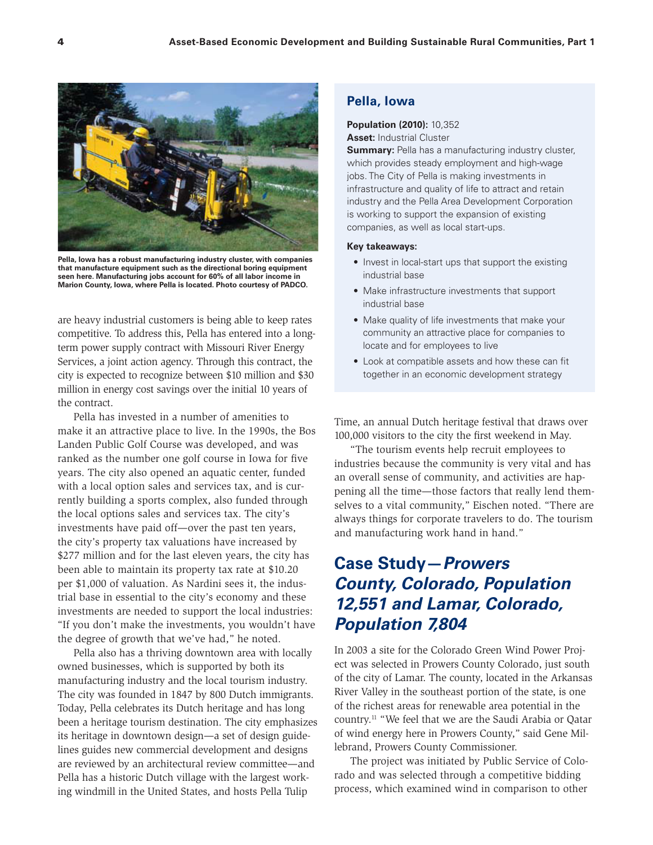

**Pella, Iowa has a robust manufacturing industry cluster, with companies that manufacture equipment such as the directional boring equipment seen here. Manufacturing jobs account for 60% of all labor income in Marion County, Iowa, where Pella is located. Photo courtesy of PADCO.**

are heavy industrial customers is being able to keep rates competitive. To address this, Pella has entered into a longterm power supply contract with Missouri River Energy Services, a joint action agency. Through this contract, the city is expected to recognize between \$10 million and \$30 million in energy cost savings over the initial 10 years of the contract.

Pella has invested in a number of amenities to make it an attractive place to live. In the 1990s, the Bos Landen Public Golf Course was developed, and was ranked as the number one golf course in Iowa for five years. The city also opened an aquatic center, funded with a local option sales and services tax, and is currently building a sports complex, also funded through the local options sales and services tax. The city's investments have paid off—over the past ten years, the city's property tax valuations have increased by \$277 million and for the last eleven years, the city has been able to maintain its property tax rate at \$10.20 per \$1,000 of valuation. As Nardini sees it, the industrial base in essential to the city's economy and these investments are needed to support the local industries: "If you don't make the investments, you wouldn't have the degree of growth that we've had," he noted.

Pella also has a thriving downtown area with locally owned businesses, which is supported by both its manufacturing industry and the local tourism industry. The city was founded in 1847 by 800 Dutch immigrants. Today, Pella celebrates its Dutch heritage and has long been a heritage tourism destination. The city emphasizes its heritage in downtown design—a set of design guidelines guides new commercial development and designs are reviewed by an architectural review committee—and Pella has a historic Dutch village with the largest working windmill in the United States, and hosts Pella Tulip

### **Pella, Iowa**

#### **Population (2010):** 10,352 **Asset:** Industrial Cluster

**Summary:** Pella has a manufacturing industry cluster, which provides steady employment and high-wage jobs. The City of Pella is making investments in infrastructure and quality of life to attract and retain industry and the Pella Area Development Corporation is working to support the expansion of existing companies, as well as local start-ups.

#### **Key takeaways:**

- Invest in local-start ups that support the existing industrial base
- Make infrastructure investments that support industrial base
- Make quality of life investments that make your community an attractive place for companies to locate and for employees to live
- Look at compatible assets and how these can fit together in an economic development strategy

Time, an annual Dutch heritage festival that draws over 100,000 visitors to the city the first weekend in May.

"The tourism events help recruit employees to industries because the community is very vital and has an overall sense of community, and activities are happening all the time—those factors that really lend themselves to a vital community," Eischen noted. "There are always things for corporate travelers to do. The tourism and manufacturing work hand in hand."

# **Case Study—***Prowers County, Colorado, Population 12,551 and Lamar, Colorado, Population 7,804*

In 2003 a site for the Colorado Green Wind Power Project was selected in Prowers County Colorado, just south of the city of Lamar. The county, located in the Arkansas River Valley in the southeast portion of the state, is one of the richest areas for renewable area potential in the country.11 "We feel that we are the Saudi Arabia or Qatar of wind energy here in Prowers County," said Gene Millebrand, Prowers County Commissioner.

The project was initiated by Public Service of Colorado and was selected through a competitive bidding process, which examined wind in comparison to other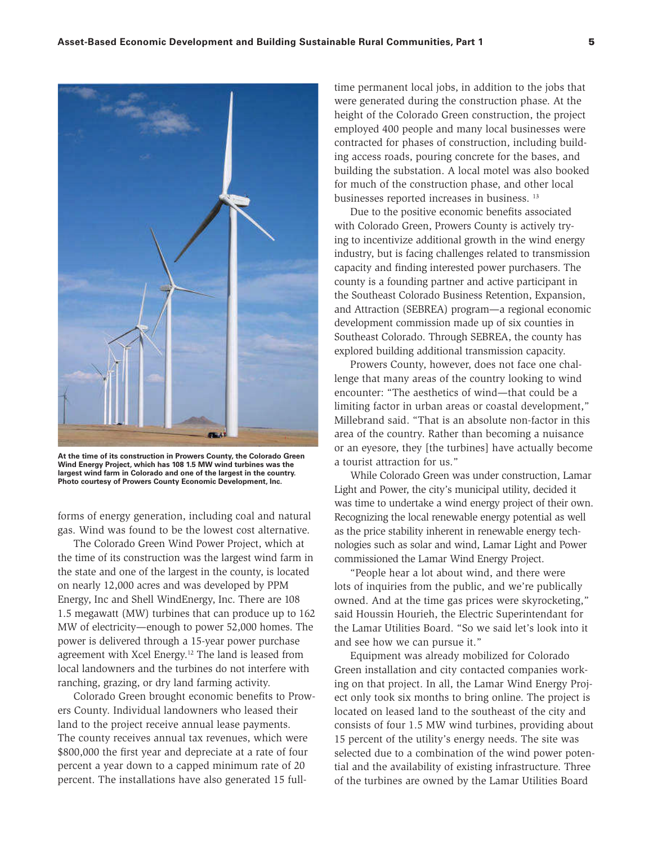

**At the time of its construction in Prowers County, the Colorado Green Wind Energy Project, which has 108 1.5 MW wind turbines was the largest wind farm in Colorado and one of the largest in the country. Photo courtesy of Prowers County Economic Development, Inc.**

forms of energy generation, including coal and natural gas. Wind was found to be the lowest cost alternative.

The Colorado Green Wind Power Project, which at the time of its construction was the largest wind farm in the state and one of the largest in the county, is located on nearly 12,000 acres and was developed by PPM Energy, Inc and Shell WindEnergy, Inc. There are 108 1.5 megawatt (MW) turbines that can produce up to 162 MW of electricity—enough to power 52,000 homes. The power is delivered through a 15-year power purchase agreement with Xcel Energy.12 The land is leased from local landowners and the turbines do not interfere with ranching, grazing, or dry land farming activity.

Colorado Green brought economic benefits to Prowers County. Individual landowners who leased their land to the project receive annual lease payments. The county receives annual tax revenues, which were \$800,000 the first year and depreciate at a rate of four percent a year down to a capped minimum rate of 20 percent. The installations have also generated 15 full-

time permanent local jobs, in addition to the jobs that were generated during the construction phase. At the height of the Colorado Green construction, the project employed 400 people and many local businesses were contracted for phases of construction, including building access roads, pouring concrete for the bases, and building the substation. A local motel was also booked for much of the construction phase, and other local businesses reported increases in business. 13

Due to the positive economic benefits associated with Colorado Green, Prowers County is actively trying to incentivize additional growth in the wind energy industry, but is facing challenges related to transmission capacity and finding interested power purchasers. The county is a founding partner and active participant in the Southeast Colorado Business Retention, Expansion, and Attraction (SEBREA) program—a regional economic development commission made up of six counties in Southeast Colorado. Through SEBREA, the county has explored building additional transmission capacity.

Prowers County, however, does not face one challenge that many areas of the country looking to wind encounter: "The aesthetics of wind—that could be a limiting factor in urban areas or coastal development," Millebrand said. "That is an absolute non-factor in this area of the country. Rather than becoming a nuisance or an eyesore, they [the turbines] have actually become a tourist attraction for us."

While Colorado Green was under construction, Lamar Light and Power, the city's municipal utility, decided it was time to undertake a wind energy project of their own. Recognizing the local renewable energy potential as well as the price stability inherent in renewable energy technologies such as solar and wind, Lamar Light and Power commissioned the Lamar Wind Energy Project.

"People hear a lot about wind, and there were lots of inquiries from the public, and we're publically owned. And at the time gas prices were skyrocketing," said Houssin Hourieh, the Electric Superintendant for the Lamar Utilities Board. "So we said let's look into it and see how we can pursue it."

Equipment was already mobilized for Colorado Green installation and city contacted companies working on that project. In all, the Lamar Wind Energy Project only took six months to bring online. The project is located on leased land to the southeast of the city and consists of four 1.5 MW wind turbines, providing about 15 percent of the utility's energy needs. The site was selected due to a combination of the wind power potential and the availability of existing infrastructure. Three of the turbines are owned by the Lamar Utilities Board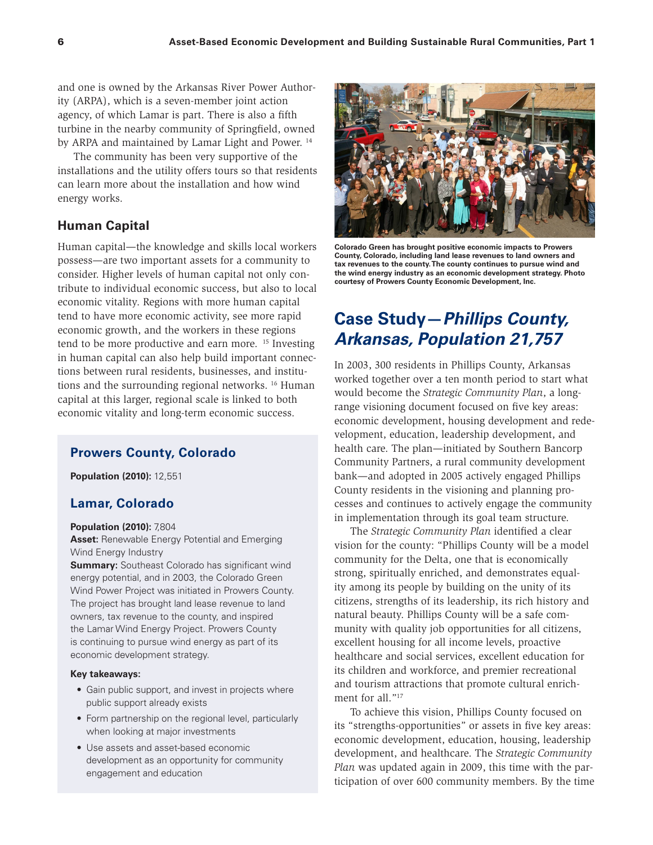and one is owned by the Arkansas River Power Authority (ARPA), which is a seven-member joint action agency, of which Lamar is part. There is also a fifth turbine in the nearby community of Springfield, owned by ARPA and maintained by Lamar Light and Power.<sup>14</sup>

The community has been very supportive of the installations and the utility offers tours so that residents can learn more about the installation and how wind energy works.

### **Human Capital**

Human capital—the knowledge and skills local workers possess—are two important assets for a community to consider. Higher levels of human capital not only contribute to individual economic success, but also to local economic vitality. Regions with more human capital tend to have more economic activity, see more rapid economic growth, and the workers in these regions tend to be more productive and earn more. 15 Investing in human capital can also help build important connections between rural residents, businesses, and institutions and the surrounding regional networks. 16 Human capital at this larger, regional scale is linked to both economic vitality and long-term economic success.

# **Prowers County, Colorado**

**Population (2010):** 12,551

### **Lamar, Colorado**

#### **Population (2010):** 7,804

**Asset:** Renewable Energy Potential and Emerging Wind Energy Industry

**Summary:** Southeast Colorado has significant wind energy potential, and in 2003, the Colorado Green Wind Power Project was initiated in Prowers County. The project has brought land lease revenue to land owners, tax revenue to the county, and inspired the Lamar Wind Energy Project. Prowers County is continuing to pursue wind energy as part of its economic development strategy.

#### **Key takeaways:**

- Gain public support, and invest in projects where public support already exists
- Form partnership on the regional level, particularly when looking at major investments
- Use assets and asset-based economic development as an opportunity for community engagement and education



**Colorado Green has brought positive economic impacts to Prowers County, Colorado, including land lease revenues to land owners and tax revenues to the county. The county continues to pursue wind and the wind energy industry as an economic development strategy. Photo courtesy of Prowers County Economic Development, Inc.**

# **Case Study—***Phillips County, Arkansas, Population 21,757*

In 2003, 300 residents in Phillips County, Arkansas worked together over a ten month period to start what would become the *Strategic Community Plan*, a longrange visioning document focused on five key areas: economic development, housing development and redevelopment, education, leadership development, and health care. The plan—initiated by Southern Bancorp Community Partners, a rural community development bank—and adopted in 2005 actively engaged Phillips County residents in the visioning and planning processes and continues to actively engage the community in implementation through its goal team structure.

The *Strategic Community Plan* identified a clear vision for the county: "Phillips County will be a model community for the Delta, one that is economically strong, spiritually enriched, and demonstrates equality among its people by building on the unity of its citizens, strengths of its leadership, its rich history and natural beauty. Phillips County will be a safe community with quality job opportunities for all citizens, excellent housing for all income levels, proactive healthcare and social services, excellent education for its children and workforce, and premier recreational and tourism attractions that promote cultural enrichment for all."<sup>17</sup>

To achieve this vision, Phillips County focused on its "strengths-opportunities" or assets in five key areas: economic development, education, housing, leadership development, and healthcare. The *Strategic Community Plan* was updated again in 2009, this time with the participation of over 600 community members. By the time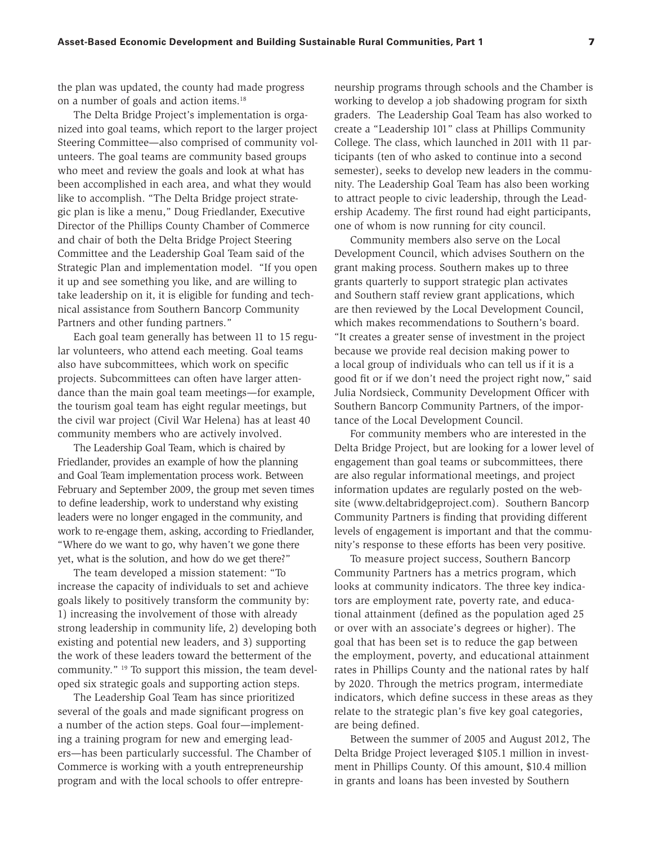the plan was updated, the county had made progress on a number of goals and action items.18

The Delta Bridge Project's implementation is organized into goal teams, which report to the larger project Steering Committee—also comprised of community volunteers. The goal teams are community based groups who meet and review the goals and look at what has been accomplished in each area, and what they would like to accomplish. "The Delta Bridge project strategic plan is like a menu," Doug Friedlander, Executive Director of the Phillips County Chamber of Commerce and chair of both the Delta Bridge Project Steering Committee and the Leadership Goal Team said of the Strategic Plan and implementation model. "If you open it up and see something you like, and are willing to take leadership on it, it is eligible for funding and technical assistance from Southern Bancorp Community Partners and other funding partners."

Each goal team generally has between 11 to 15 regular volunteers, who attend each meeting. Goal teams also have subcommittees, which work on specific projects. Subcommittees can often have larger attendance than the main goal team meetings—for example, the tourism goal team has eight regular meetings, but the civil war project (Civil War Helena) has at least 40 community members who are actively involved.

The Leadership Goal Team, which is chaired by Friedlander, provides an example of how the planning and Goal Team implementation process work. Between February and September 2009, the group met seven times to define leadership, work to understand why existing leaders were no longer engaged in the community, and work to re-engage them, asking, according to Friedlander, "Where do we want to go, why haven't we gone there yet, what is the solution, and how do we get there?"

The team developed a mission statement: "To increase the capacity of individuals to set and achieve goals likely to positively transform the community by: 1) increasing the involvement of those with already strong leadership in community life, 2) developing both existing and potential new leaders, and 3) supporting the work of these leaders toward the betterment of the community." 19 To support this mission, the team developed six strategic goals and supporting action steps.

The Leadership Goal Team has since prioritized several of the goals and made significant progress on a number of the action steps. Goal four—implementing a training program for new and emerging leaders—has been particularly successful. The Chamber of Commerce is working with a youth entrepreneurship program and with the local schools to offer entrepre-

neurship programs through schools and the Chamber is working to develop a job shadowing program for sixth graders. The Leadership Goal Team has also worked to create a "Leadership 101" class at Phillips Community College. The class, which launched in 2011 with 11 participants (ten of who asked to continue into a second semester), seeks to develop new leaders in the community. The Leadership Goal Team has also been working to attract people to civic leadership, through the Leadership Academy. The first round had eight participants, one of whom is now running for city council.

Community members also serve on the Local Development Council, which advises Southern on the grant making process. Southern makes up to three grants quarterly to support strategic plan activates and Southern staff review grant applications, which are then reviewed by the Local Development Council, which makes recommendations to Southern's board. "It creates a greater sense of investment in the project because we provide real decision making power to a local group of individuals who can tell us if it is a good fit or if we don't need the project right now," said Julia Nordsieck, Community Development Officer with Southern Bancorp Community Partners, of the importance of the Local Development Council.

For community members who are interested in the Delta Bridge Project, but are looking for a lower level of engagement than goal teams or subcommittees, there are also regular informational meetings, and project information updates are regularly posted on the website (www.deltabridgeproject.com). Southern Bancorp Community Partners is finding that providing different levels of engagement is important and that the community's response to these efforts has been very positive.

To measure project success, Southern Bancorp Community Partners has a metrics program, which looks at community indicators. The three key indicators are employment rate, poverty rate, and educational attainment (defined as the population aged 25 or over with an associate's degrees or higher). The goal that has been set is to reduce the gap between the employment, poverty, and educational attainment rates in Phillips County and the national rates by half by 2020. Through the metrics program, intermediate indicators, which define success in these areas as they relate to the strategic plan's five key goal categories, are being defined.

Between the summer of 2005 and August 2012, The Delta Bridge Project leveraged \$105.1 million in investment in Phillips County. Of this amount, \$10.4 million in grants and loans has been invested by Southern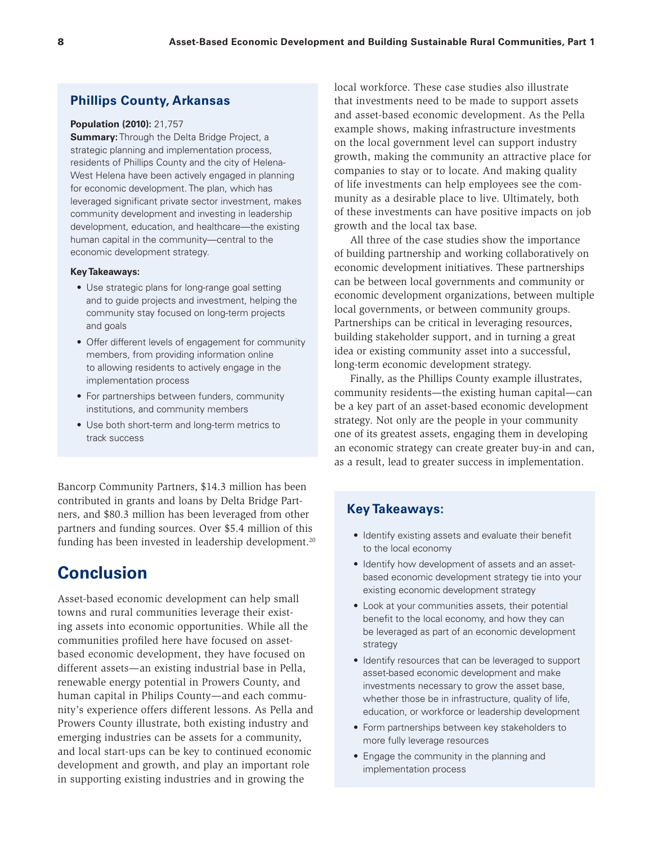### **Phillips County, Arkansas**

#### **Population (2010):** 21,757

**Summary:** Through the Delta Bridge Project, a strategic planning and implementation process, residents of Phillips County and the city of Helena-West Helena have been actively engaged in planning for economic development. The plan, which has leveraged significant private sector investment, makes community development and investing in leadership development, education, and healthcare—the existing human capital in the community—central to the economic development strategy.

#### **Key Takeaways:**

- Use strategic plans for long-range goal setting and to guide projects and investment, helping the community stay focused on long-term projects and goals
- Offer different levels of engagement for community members, from providing information online to allowing residents to actively engage in the implementation process
- For partnerships between funders, community institutions, and community members
- Use both short-term and long-term metrics to track success

Bancorp Community Partners, \$14.3 million has been contributed in grants and loans by Delta Bridge Partners, and \$80.3 million has been leveraged from other partners and funding sources. Over \$5.4 million of this funding has been invested in leadership development.<sup>20</sup>

# **Conclusion**

Asset-based economic development can help small towns and rural communities leverage their existing assets into economic opportunities. While all the communities profiled here have focused on assetbased economic development, they have focused on different assets—an existing industrial base in Pella, renewable energy potential in Prowers County, and human capital in Philips County—and each community's experience offers different lessons. As Pella and Prowers County illustrate, both existing industry and emerging industries can be assets for a community, and local start-ups can be key to continued economic development and growth, and play an important role in supporting existing industries and in growing the

local workforce. These case studies also illustrate that investments need to be made to support assets and asset-based economic development. As the Pella example shows, making infrastructure investments on the local government level can support industry growth, making the community an attractive place for companies to stay or to locate. And making quality of life investments can help employees see the community as a desirable place to live. Ultimately, both of these investments can have positive impacts on job growth and the local tax base.

All three of the case studies show the importance of building partnership and working collaboratively on economic development initiatives. These partnerships can be between local governments and community or economic development organizations, between multiple local governments, or between community groups. Partnerships can be critical in leveraging resources, building stakeholder support, and in turning a great idea or existing community asset into a successful, long-term economic development strategy.

Finally, as the Phillips County example illustrates, community residents—the existing human capital—can be a key part of an asset-based economic development strategy. Not only are the people in your community one of its greatest assets, engaging them in developing an economic strategy can create greater buy-in and can, as a result, lead to greater success in implementation.

### **Key Takeaways:**

- Identify existing assets and evaluate their benefit to the local economy
- Identify how development of assets and an assetbased economic development strategy tie into your existing economic development strategy
- Look at your communities assets, their potential benefit to the local economy, and how they can be leveraged as part of an economic development strategy
- Identify resources that can be leveraged to support asset-based economic development and make investments necessary to grow the asset base, whether those be in infrastructure, quality of life, education, or workforce or leadership development
- Form partnerships between key stakeholders to more fully leverage resources
- Engage the community in the planning and implementation process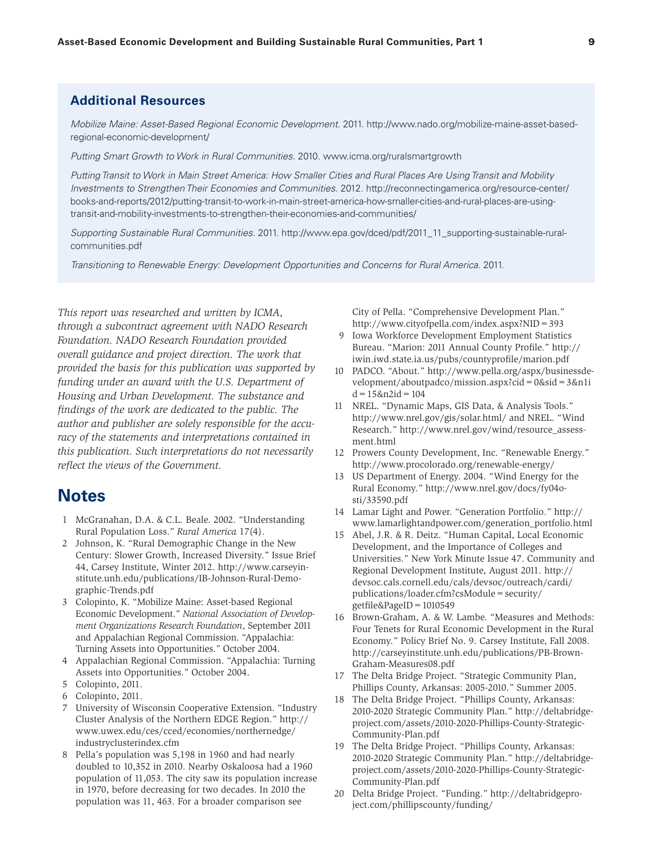### **Additional Resources**

*Mobilize Maine: Asset-Based Regional Economic Development.* 2011. http://www.nado.org/mobilize-maine-asset-basedregional-economic-development/

*Putting Smart Growth to Work in Rural Communities.* 2010. www.icma.org/ruralsmartgrowth

*Putting Transit to Work in Main Street America: How Smaller Cities and Rural Places Are Using Transit and Mobility Investments to Strengthen Their Economies and Communities*. 2012. http://reconnectingamerica.org/resource-center/ books-and-reports/2012/putting-transit-to-work-in-main-street-america-how-smaller-cities-and-rural-places-are-usingtransit-and-mobility-investments-to-strengthen-their-economies-and-communities/

*Supporting Sustainable Rural Communities.* 2011. http://www.epa.gov/dced/pdf/2011\_11\_supporting-sustainable-ruralcommunities.pdf

*Transitioning to Renewable Energy: Development Opportunities and Concerns for Rural America.* 2011.

*This report was researched and written by ICMA, through a subcontract agreement with NADO Research Foundation. NADO Research Foundation provided overall guidance and project direction. The work that provided the basis for this publication was supported by funding under an award with the U.S. Department of Housing and Urban Development. The substance and findings of the work are dedicated to the public. The author and publisher are solely responsible for the accuracy of the statements and interpretations contained in this publication. Such interpretations do not necessarily reflect the views of the Government.*

# **Notes**

- 1 McGranahan, D.A. & C.L. Beale. 2002. "Understanding Rural Population Loss." *Rural America* 17(4).
- 2 Johnson, K. "Rural Demographic Change in the New Century: Slower Growth, Increased Diversity." Issue Brief 44, Carsey Institute, Winter 2012. http://www.carseyinstitute.unh.edu/publications/IB-Johnson-Rural-Demographic-Trends.pdf
- 3 Colopinto, K. "Mobilize Maine: Asset-based Regional Economic Development." *National Association of Development Organizations Research Foundation*, September 2011 and Appalachian Regional Commission. "Appalachia: Turning Assets into Opportunities." October 2004.
- 4 Appalachian Regional Commission. "Appalachia: Turning Assets into Opportunities." October 2004.
- 5 Colopinto, 2011.
- 6 Colopinto, 2011.
- 7 University of Wisconsin Cooperative Extension. "Industry Cluster Analysis of the Northern EDGE Region." http:// www.uwex.edu/ces/cced/economies/northernedge/ industryclusterindex.cfm
- 8 Pella's population was 5,198 in 1960 and had nearly doubled to 10,352 in 2010. Nearby Oskaloosa had a 1960 population of 11,053. The city saw its population increase in 1970, before decreasing for two decades. In 2010 the population was 11, 463. For a broader comparison see

City of Pella. "Comprehensive Development Plan." http://www.cityofpella.com/index.aspx?NID=393

- 9 Iowa Workforce Development Employment Statistics Bureau. "Marion: 2011 Annual County Profile." http:// iwin.iwd.state.ia.us/pubs/countyprofile/marion.pdf
- 10 PADCO. "About." http://www.pella.org/aspx/businessdevelopment/aboutpadco/mission.aspx?cid=0&sid=3&n1i d=15&n2id=104
- 11 NREL. "Dynamic Maps, GIS Data, & Analysis Tools." http://www.nrel.gov/gis/solar.html/ and NREL. "Wind Research." http://www.nrel.gov/wind/resource\_assessment.html
- 12 Prowers County Development, Inc. "Renewable Energy." http://www.procolorado.org/renewable-energy/
- 13 US Department of Energy. 2004. "Wind Energy for the Rural Economy." http://www.nrel.gov/docs/fy04osti/33590.pdf
- 14 Lamar Light and Power. "Generation Portfolio." http:// www.lamarlightandpower.com/generation\_portfolio.html
- 15 Abel, J.R. & R. Deitz. "Human Capital, Local Economic Development, and the Importance of Colleges and Universities." New York Minute Issue 47. Community and Regional Development Institute, August 2011. http:// devsoc.cals.cornell.edu/cals/devsoc/outreach/cardi/ publications/loader.cfm?csModule=security/ getfile&PageID=1010549
- 16 Brown-Graham, A. & W. Lambe. "Measures and Methods: Four Tenets for Rural Economic Development in the Rural Economy." Policy Brief No. 9. Carsey Institute, Fall 2008. http://carseyinstitute.unh.edu/publications/PB-Brown-Graham-Measures08.pdf
- 17 The Delta Bridge Project. "Strategic Community Plan, Phillips County, Arkansas: 2005-2010." Summer 2005.
- 18 The Delta Bridge Project. "Phillips County, Arkansas: 2010-2020 Strategic Community Plan." http://deltabridgeproject.com/assets/2010-2020-Phillips-County-Strategic-Community-Plan.pdf
- 19 The Delta Bridge Project. "Phillips County, Arkansas: 2010-2020 Strategic Community Plan." http://deltabridgeproject.com/assets/2010-2020-Phillips-County-Strategic-Community-Plan.pdf
- 20 Delta Bridge Project. "Funding." http://deltabridgeproject.com/phillipscounty/funding/